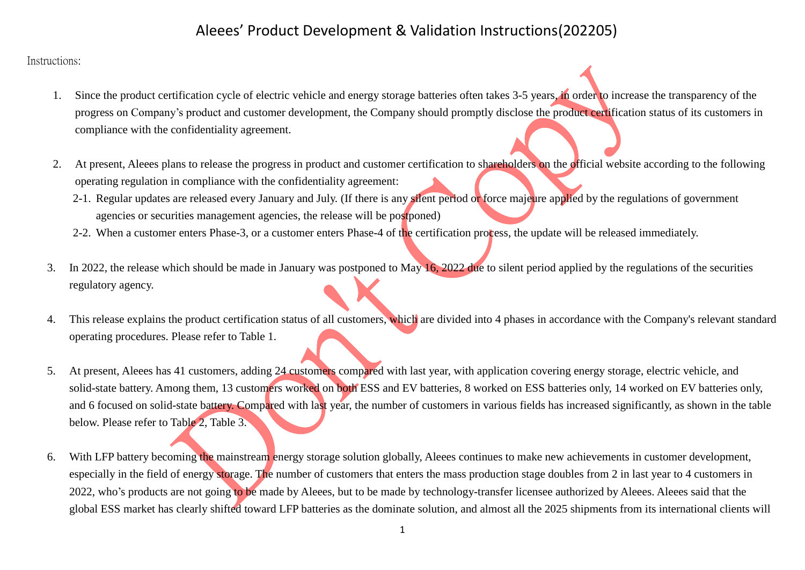#### Instructions:

- 1. Since the product certification cycle of electric vehicle and energy storage batteries often takes 3-5 years, in order to increase the transparency of the progress on Company's product and customer development, the Company should promptly disclose the product certification status of its customers in compliance with the confidentiality agreement.
- 2. At present, Aleees plans to release the progress in product and customer certification to shareholders on the official website according to the following operating regulation in compliance with the confidentiality agreement:
	- 2-1. Regular updates are released every January and July. (If there is any silent period or force majeure applied by the regulations of government agencies or securities management agencies, the release will be postponed)
	- 2-2. When a customer enters Phase-3, or a customer enters Phase-4 of the certification process, the update will be released immediately.
- 3. In 2022, the release which should be made in January was postponed to May 16, 2022 due to silent period applied by the regulations of the securities regulatory agency.
- 4. This release explains the product certification status of all customers, which are divided into 4 phases in accordance with the Company's relevant standard operating procedures. Please refer to Table 1.
- 5. At present, Aleees has 41 customers, adding 24 customers compared with last year, with application covering energy storage, electric vehicle, and solid-state battery. Among them, 13 customers worked on both ESS and EV batteries, 8 worked on ESS batteries only, 14 worked on EV batteries only, and 6 focused on solid-state battery. Compared with last year, the number of customers in various fields has increased significantly, as shown in the table below. Please refer to Table 2, Table 3.
- 6. With LFP battery becoming the mainstream energy storage solution globally, Aleees continues to make new achievements in customer development, especially in the field of energy storage. The number of customers that enters the mass production stage doubles from 2 in last year to 4 customers in 2022, who's products are not going to be made by Aleees, but to be made by technology-transfer licensee authorized by Aleees. Aleees said that the global ESS market has clearly shifted toward LFP batteries as the dominate solution, and almost all the 2025 shipments from its international clients will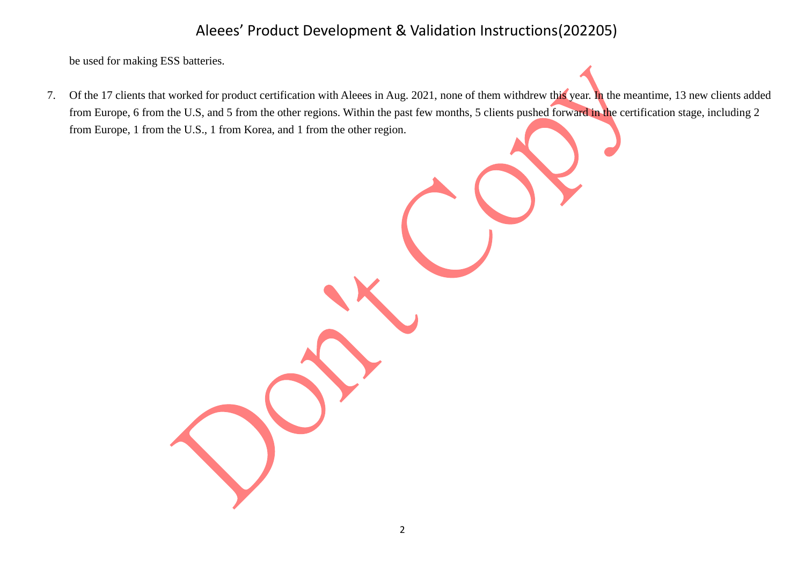be used for making ESS batteries.

7. Of the 17 clients that worked for product certification with Aleees in Aug. 2021, none of them withdrew this year. In the meantime, 13 new clients added from Europe, 6 from the U.S, and 5 from the other regions. Within the past few months, 5 clients pushed forward in the certification stage, including 2 from Europe, 1 from the U.S., 1 from Korea, and 1 from the other region.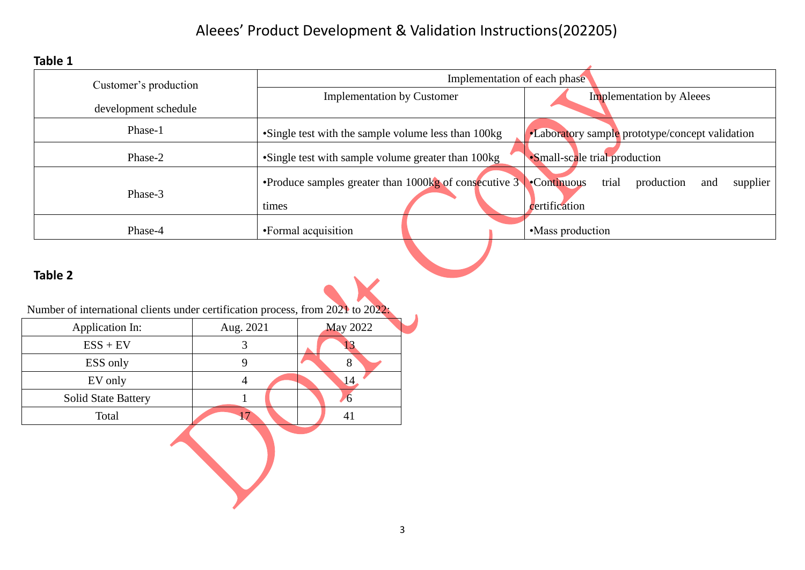**Table 1**

| Customer's production | Implementation of each phase                                                        |  |                                                                              |  |  |  |
|-----------------------|-------------------------------------------------------------------------------------|--|------------------------------------------------------------------------------|--|--|--|
|                       | <b>Implementation by Customer</b>                                                   |  | <b>Implementation by Aleees</b>                                              |  |  |  |
| development schedule  |                                                                                     |  |                                                                              |  |  |  |
| Phase-1               | •Single test with the sample volume less than 100kg                                 |  | •Laboratory sample prototype/concept validation                              |  |  |  |
| Phase-2               | •Single test with sample volume greater than 100kg<br>•Small-scale trial production |  |                                                                              |  |  |  |
| Phase-3               | •Produce samples greater than 1000 $\text{kg}$ of consecutive 3<br>times            |  | trial<br><b>Continuous</b><br>production<br>supplier<br>and<br>certification |  |  |  |
| Phase-4               | •Formal acquisition                                                                 |  | •Mass production                                                             |  |  |  |

### **Table 2**

Number of international clients under certification process, from 2021 to 2022:

| 8  |  |
|----|--|
|    |  |
| ō  |  |
| 41 |  |
|    |  |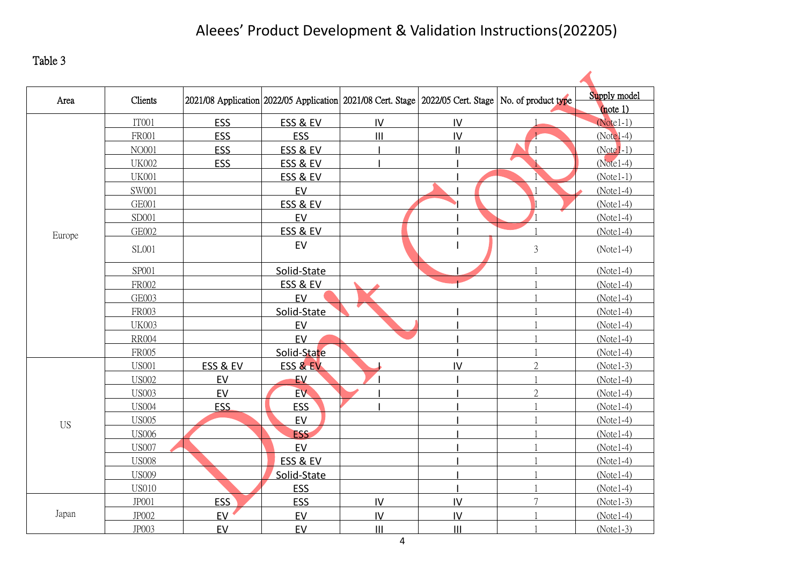Table 3

| Area      | Clients      | 2021/08 Application 2022/05 Application 2021/08 Cert. Stage 2022/05 Cert. Stage No. of product type |                     |               |                |                | Supply model           |
|-----------|--------------|-----------------------------------------------------------------------------------------------------|---------------------|---------------|----------------|----------------|------------------------|
|           | IT001        | <b>ESS</b>                                                                                          | ESS & EV            | IV            | IV             |                | note 1)<br>$(Note1-1)$ |
|           | <b>FR001</b> | ESS                                                                                                 | <b>ESS</b>          | III           | $\mathsf{IV}$  |                | $(Note1-4)$            |
|           | NO001        | ESS                                                                                                 | ESS & EV            |               | $\mathbf{II}$  |                | $(Note1-1)$            |
|           | <b>UK002</b> | ESS                                                                                                 | <b>ESS &amp; EV</b> |               |                |                | $(Note1-4)$            |
|           | <b>UK001</b> |                                                                                                     | <b>ESS &amp; EV</b> |               |                |                | $(Note1-1)$            |
|           | SW001        |                                                                                                     | EV                  |               |                |                | $(Note1-4)$            |
|           | <b>GE001</b> |                                                                                                     | ESS & EV            |               |                |                | $(Note1-4)$            |
|           | SD001        |                                                                                                     | EV                  |               |                |                | $(Note1-4)$            |
|           | GE002        |                                                                                                     | ESS & EV            |               |                |                | $(Note1-4)$            |
| Europe    |              |                                                                                                     |                     |               |                |                |                        |
|           | SL001        |                                                                                                     | EV                  |               |                | $\mathfrak{Z}$ | $(Note1-4)$            |
|           | SP001        |                                                                                                     | Solid-State         |               |                |                | $(Note1-4)$            |
|           | FR002        |                                                                                                     | ESS & EV            |               |                |                | $(Note1-4)$            |
|           | <b>GE003</b> |                                                                                                     | EV                  |               |                |                | $(Note1-4)$            |
|           | FR003        |                                                                                                     | Solid-State         |               |                |                | $(Note1-4)$            |
|           | <b>UK003</b> |                                                                                                     | EV                  |               |                |                | $(Note1-4)$            |
|           | <b>RR004</b> |                                                                                                     | EV                  |               |                |                | $(Note1-4)$            |
|           | FR005        |                                                                                                     | Solid-State         |               |                |                | $(Note1-4)$            |
|           | <b>US001</b> | ESS & EV                                                                                            | <b>ESS &amp; EV</b> |               | IV             | $\overline{2}$ | $(Note1-3)$            |
|           | <b>US002</b> | EV                                                                                                  | EV                  |               |                |                | $(Note1-4)$            |
|           | <b>US003</b> | EV                                                                                                  | EV.                 |               |                | $\overline{2}$ | $(Note1-4)$            |
|           | <b>US004</b> | <b>ESS</b>                                                                                          | <b>ESS</b>          |               |                |                | $(Note1-4)$            |
| <b>US</b> | <b>US005</b> |                                                                                                     | EV                  |               |                |                | $(Note1-4)$            |
|           | <b>US006</b> |                                                                                                     | <b>ESS</b>          |               |                |                | $(Note1-4)$            |
|           | <b>US007</b> |                                                                                                     | EV                  |               |                |                | $(Note1-4)$            |
|           | <b>US008</b> |                                                                                                     | ESS & EV            |               |                |                | $(Note1-4)$            |
|           | <b>US009</b> |                                                                                                     | Solid-State         |               |                |                | $(Note1-4)$            |
|           | <b>US010</b> |                                                                                                     | <b>ESS</b>          |               |                |                | $(Note1-4)$            |
|           | <b>JP001</b> | ESS                                                                                                 | ESS                 | IV            | $\mathsf{IV}$  | $\overline{7}$ | $(Note1-3)$            |
| Japan     | JP002        | EV                                                                                                  | EV                  | $\mathsf{IV}$ | $\overline{N}$ |                | $(Note1-4)$            |
|           | JP003        | EV                                                                                                  | EV                  | III           | $\mathbf{III}$ |                | $(Note1-3)$            |